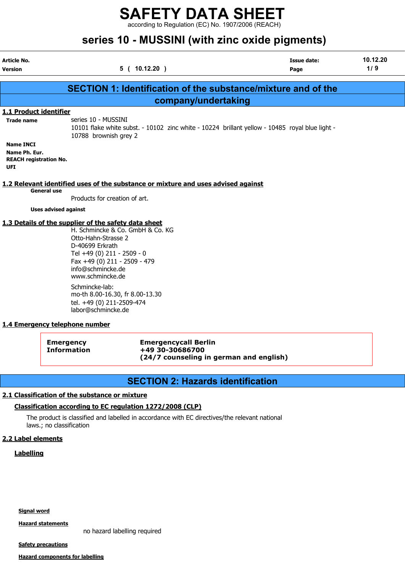according to Regulation (EC) No. 1907/2006 (REACH)

# series 10 - MUSSINI (with zinc oxide pigments)

|                                                                                  | <u>unda iyo moodha (willi zino oxido piginungi</u>                                                                                                                                                                                        |                            |                 |
|----------------------------------------------------------------------------------|-------------------------------------------------------------------------------------------------------------------------------------------------------------------------------------------------------------------------------------------|----------------------------|-----------------|
| Article No.<br><b>Version</b>                                                    | 5(10.12.20)                                                                                                                                                                                                                               | <b>Issue date:</b><br>Page | 10.12.20<br>1/9 |
|                                                                                  |                                                                                                                                                                                                                                           |                            |                 |
|                                                                                  | <b>SECTION 1: Identification of the substance/mixture and of the</b>                                                                                                                                                                      |                            |                 |
|                                                                                  | company/undertaking                                                                                                                                                                                                                       |                            |                 |
| 1.1 Product identifier<br><b>Trade name</b>                                      | series 10 - MUSSINI<br>10101 flake white subst. - 10102 zinc white - 10224 brillant yellow - 10485 royal blue light -                                                                                                                     |                            |                 |
| <b>Name INCI</b><br>Name Ph. Eur.<br><b>REACH registration No.</b><br><b>UFI</b> | 10788 brownish grey 2                                                                                                                                                                                                                     |                            |                 |
| <b>General use</b>                                                               | 1.2 Relevant identified uses of the substance or mixture and uses advised against<br>Products for creation of art.                                                                                                                        |                            |                 |
| <b>Uses advised against</b>                                                      |                                                                                                                                                                                                                                           |                            |                 |
|                                                                                  | 1.3 Details of the supplier of the safety data sheet<br>H. Schmincke & Co. GmbH & Co. KG<br>Otto-Hahn-Strasse 2<br>D-40699 Erkrath<br>Tel +49 (0) 211 - 2509 - 0<br>Fax +49 (0) 211 - 2509 - 479<br>info@schmincke.de<br>www.schmincke.de |                            |                 |
|                                                                                  | Schmincke-lab:<br>mo-th 8.00-16.30, fr 8.00-13.30<br>tel. +49 (0) 211-2509-474<br>labor@schmincke.de                                                                                                                                      |                            |                 |
| 1.4 Emergency telephone number                                                   |                                                                                                                                                                                                                                           |                            |                 |

| Emergency<br><b>Information</b> | <b>Emergencycall Berlin</b><br>+49 30-30686700 |
|---------------------------------|------------------------------------------------|
|                                 | (24/7 counseling in german and english)        |

## SECTION 2: Hazards identification

#### 2.1 Classification of the substance or mixture

#### Classification according to EC regulation 1272/2008 (CLP)

The product is classified and labelled in accordance with EC directives/the relevant national laws.; no classification

#### 2.2 Label elements

#### **Labelling**

Signal word

Hazard statements

no hazard labelling required

**Safety precautions** 

Hazard components for labelling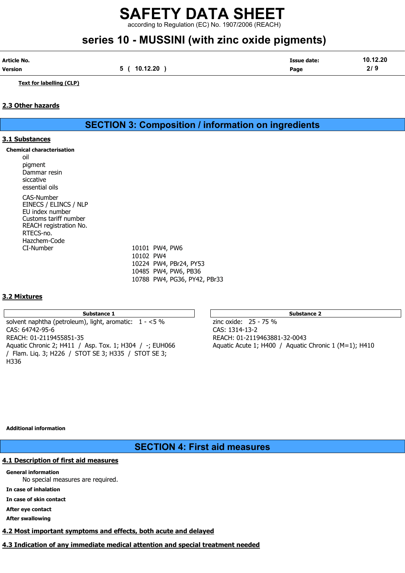according to Regulation (EC) No. 1907/2006 (REACH)

# series 10 - MUSSINI (with zinc oxide pigments)

| Article No. |          | Issue date: | 10.12.20 |
|-------------|----------|-------------|----------|
| Version     | 10.12.20 | Page        | <u>.</u> |

Text for labelling (CLP)

#### 2.3 Other hazards

## SECTION 3: Composition / information on ingredients

#### 3.1 Substances

#### Chemical characterisation

oil pigment Dammar resin siccative essential oils CAS-Number EINECS / ELINCS / NLP EU index number Customs tariff number REACH registration No. RTECS-no. Hazchem-Code CI-Number 10101 PW4, PW6

10102 PW4 10224 PW4, PBr24, PY53 10485 PW4, PW6, PB36 10788 PW4, PG36, PY42, PBr33

### 3.2 Mixtures

#### Substance 1 Substance 2 Substance 2 Substance 2 Substance 2 Substance 2 Substance 2 Substance 2 Substance 2 Substance 2 Substance 2 Substance 2 Substance 2 Substance 2 Substance 2 Substance 2 Substance 2 Substance 2 Substa

solvent naphtha (petroleum), light, aromatic:  $1 - 5 \%$  zinc oxide: 25 - 75 % CAS: 64742-95-6 CAS: 1314-13-2 REACH: 01-2119455851-35 REACH: 01-2119463881-32-0043 Aquatic Chronic 2; H411 / Asp. Tox. 1; H304 / -; EUH066  $\phantom{0}$  Aquatic Acute 1; H400 / Aquatic Chronic 1 (M=1); H410 / Flam. Liq. 3; H226 / STOT SE 3; H335 / STOT SE 3; H336

#### Additional information

## SECTION 4: First aid measures

### 4.1 Description of first aid measures

#### General information

No special measures are required.

In case of inhalation

In case of skin contact

After eye contact

After swallowing

# 4.2 Most important symptoms and effects, both acute and delayed

4.3 Indication of any immediate medical attention and special treatment needed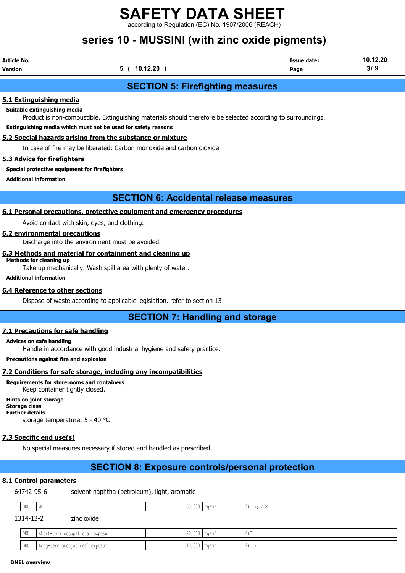ding to Regulation (EC) No. 1907/2006 (REACH)

# series 10 - MUSSINI (with zinc oxide pigments)

| Article No. |              | <b>Issue date:</b> | 10.12.20 |
|-------------|--------------|--------------------|----------|
| Version     | 5 ( 10.12.20 | Page               | 3/9      |

## SECTION 5: Firefighting measures

#### 5.1 Extinguishing media

Suitable extinguishing media

Product is non-combustible. Extinguishing materials should therefore be selected according to surroundings.

Extinguishing media which must not be used for safety reasons

#### 5.2 Special hazards arising from the substance or mixture

In case of fire may be liberated: Carbon monoxide and carbon dioxide

#### 5.3 Advice for firefighters

#### Special protective equipment for firefighters

Additional information

## SECTION 6: Accidental release measures

#### 6.1 Personal precautions, protective equipment and emergency procedures

Avoid contact with skin, eyes, and clothing.

#### 6.2 environmental precautions

Discharge into the environment must be avoided.

#### 6.3 Methods and material for containment and cleaning up

Methods for cleaning up Take up mechanically. Wash spill area with plenty of water.

Additional information

#### 6.4 Reference to other sections

Dispose of waste according to applicable legislation. refer to section 13

## SECTION 7: Handling and storage

#### 7.1 Precautions for safe handling

#### Advices on safe handling

Handle in accordance with good industrial hygiene and safety practice.

Precautions against fire and explosion

#### 7.2 Conditions for safe storage, including any incompatibilities

Requirements for storerooms and containers

Keep container tightly closed.

Hints on joint storage Storage class Further details storage temperature: 5 - 40 °C

#### 7.3 Specific end use(s)

No special measures necessary if stored and handled as prescribed.

# SECTION 8: Exposure controls/personal protection

### 8.1 Control parameters

64742-95-6 solvent naphtha (petroleum), light, aromatic

| DEU | WEL | AA<br>50,000 | $\mathsf{Im}\alpha/\mathfrak{m}^3$ | $\hat{H}$ (II); AGS |
|-----|-----|--------------|------------------------------------|---------------------|
| .   |     |              |                                    |                     |

1314-13-2 zinc oxide

| DEU | short-term occupational exposu | $20,000$ mg/m <sup>3</sup>   | $11 -$<br>그녀의                 |
|-----|--------------------------------|------------------------------|-------------------------------|
| DEU | Long-term occupational exposur | $10,000$   mg/m <sup>3</sup> | $\wedge$ $\cdots$<br>14 L L L |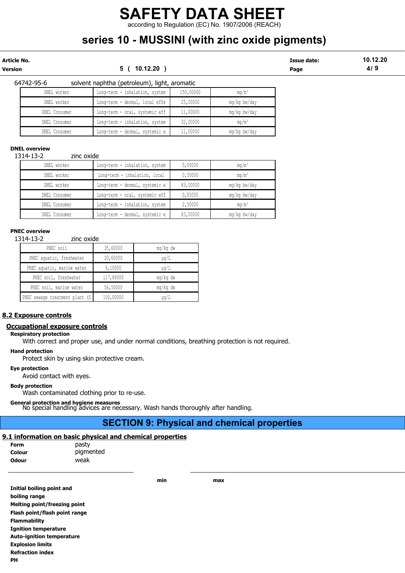according to Regulation (EC) No. 1907/2006 (REACH)

# series 10 - MUSSINI (with zinc oxide pigments)

Article No. Issue date: 10.12.20 Version 5 ( 10.12.20 ) Page 4/ 9

| 64742-95-6 |               | solvent naphtha (petroleum), light, aromatic |           |              |
|------------|---------------|----------------------------------------------|-----------|--------------|
|            | DNEL worker   | Long-term - inhalation, system               | 150,00000 | $mq/m^3$     |
|            | DNEL worker   | Long-term - dermal, local effe               | 25,00000  | mq/kq bw/day |
|            | DNEL Consumer | Long-term - oral, systemic eff               | 11,00000  | mq/kq bw/day |
|            | DNEL Consumer | Long-term - inhalation, system               | 32,00000  | $mq/m^3$     |
|            | DNEL Consumer | Long-term - dermal, systemic e               | 11,00000  | mg/kg bw/day |

#### DNEL overview

1314-13-2 zinc oxide

| DNEL worker   | Long-term - inhalation, system | 5,00000  | $mq/m^3$      |
|---------------|--------------------------------|----------|---------------|
| DNEL worker   | Long-term - inhalation, local  | 0,50000  | $mq/m^3$      |
| DNEL worker   | Long-term - dermal, systemic e | 83,00000 | mg/kg bw/day  |
| DNEL Consumer | Long-term - oral, systemic eff | 0,83000  | mg/kg bw/day  |
| DNEL Consumer | Long-term - inhalation, system | 2,50000  | $m\alpha/m^3$ |
| DNEL Consumer | Long-term - dermal, systemic e | 83,00000 | mg/kg bw/day  |

#### PNEC overview

1314-13-2 zinc oxide

| PNEC soil                      | 35,60000  | mg/kg dw  |
|--------------------------------|-----------|-----------|
| PNEC aquatic, freshwater       | 20,60000  | µq/L      |
| PNEC aquatic, marine water     | 6,10000   | $\mu$ q/L |
| PNEC soil, freshwater          | 117,80000 | mg/kg dw  |
| PNEC soil, marine water        | 56,50000  | mg/kg dw  |
| PNEC sewage treatment plant (S | 100,00000 | $\mu$ q/L |

#### 8.2 Exposure controls

#### Occupational exposure controls

#### Respiratory protection

With correct and proper use, and under normal conditions, breathing protection is not required.

Hand protection

Protect skin by using skin protective cream.

#### Eye protection

Avoid contact with eyes.

#### Body protection

Wash contaminated clothing prior to re-use.

General protection and hygiene measures No special handling advices are necessary. Wash hands thoroughly after handling.

## SECTION 9: Physical and chemical properties

#### 9.1 information on basic physical and chemical properties

| Form         | pasty |
|--------------|-------|
| Colour       | pigme |
| <b>Odour</b> | weak  |

 $stry$ gmented

min max

| Initial boiling point and        |
|----------------------------------|
| boiling range                    |
| Melting point/freezing point     |
| Flash point/flash point range    |
| <b>Flammability</b>              |
| <b>Ignition temperature</b>      |
| <b>Auto-ignition temperature</b> |
| <b>Explosion limits</b>          |
| <b>Refraction index</b>          |
| ΡН                               |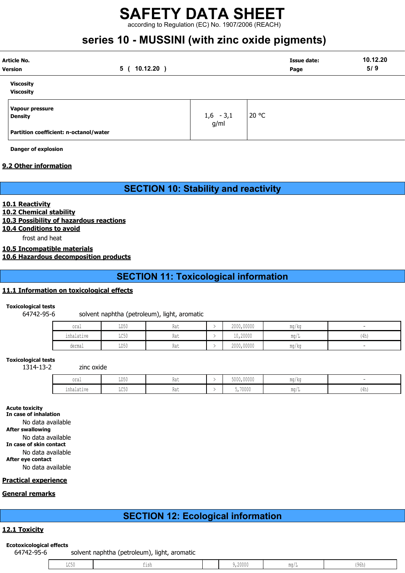according to Regulation (EC) No. 1907/2006 (REACH)

# series 10 - MUSSINI (with zinc oxide pigments)

| Article No.<br>Version                 | $10.12.20$ )<br>5 ( |                     | Issue date:<br>Page | 10.12.20<br>5/9 |
|----------------------------------------|---------------------|---------------------|---------------------|-----------------|
| <b>Viscosity</b><br><b>Viscosity</b>   |                     |                     |                     |                 |
| Vapour pressure<br><b>Density</b>      |                     | $1,6 - 3,1$<br>g/ml | 20 °C               |                 |
| Partition coefficient: n-octanol/water |                     |                     |                     |                 |

Danger of explosion

#### 9.2 Other information

SECTION 10: Stability and reactivity

#### 10.1 Reactivity

10.2 Chemical stability

10.3 Possibility of hazardous reactions

10.4 Conditions to avoid

frost and heat

10.5 Incompatible materials

10.6 Hazardous decomposition products

SECTION 11: Toxicological information

#### 11.1 Information on toxicological effects

Toxicological tests

64742-95-6 solvent naphtha (petroleum), light, aromatic

| oral                                           | LD50                    | Rat | 2000,00000 | $\sim$ $\sim$ $\sim$<br>ma/ka |             |
|------------------------------------------------|-------------------------|-----|------------|-------------------------------|-------------|
| the second control of the second<br>inhalative | $T \cap E \cap$<br>せいりり | Rat | 10,20000   | $m \sim$<br>111.U / T         | (4h)<br>. . |
| dermal                                         | LD50                    | Rat | 2000,00000 | ma/ka                         |             |

Toxicological tests

1314-13-2 zinc oxide

| oral            | LD50          | na i | 5000,00000 | mg/kg |              |
|-----------------|---------------|------|------------|-------|--------------|
| .<br>inhalative | T A E<br>エレマハ | さいし  | 5,70000    | ma/L  | 11<br>- 140. |

Acute toxicity

In case of inhalation No data available

After swallowing

No data available

In case of skin contact

No data available

After eye contact

No data available

#### Practical experience

#### General remarks

# SECTION 12: Ecological information

#### 12.1 Toxicity

#### Ecotoxicological effects

64742-95-6 solvent naphtha (petroleum), light, aromatic

| , 20000<br>. |
|--------------|
|--------------|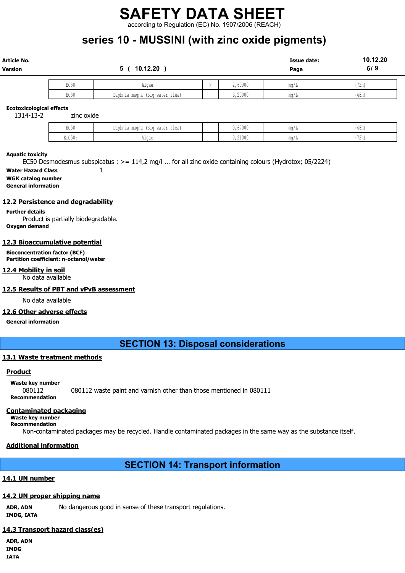according to Regulation (EC) No. 1907/2006 (REACH)

# series 10 - MUSSINI (with zinc oxide pigments)

| Article No.<br>Version |      | 10.12.20<br>5.                 |         | <b>Issue date:</b><br>Page | 10.12.20<br>6/9 |
|------------------------|------|--------------------------------|---------|----------------------------|-----------------|
|                        | EC50 | Algae                          | 2,60000 | mq/L                       | (72h)           |
|                        | EC50 | Daphnia magna (Big water flea) | 3,20000 | mq/L                       | (48h)           |

#### Ecotoxicological effects

1314-13-2 zinc oxide

| TQT<br>コンソフ    | (Big water flea)<br>Daphnia magna | 0,67000 | 111 J L   | (48h             |
|----------------|-----------------------------------|---------|-----------|------------------|
| 1,050<br>∙∪∪⊾ت | ع د ۱۸<br>utnac                   | 0,21000 | 111.U / 1 | $1 - 2$<br>16.11 |

#### Aquatic toxicity

EC50 Desmodesmus subspicatus : >= 114,2 mg/l ... for all zinc oxide containing colours (Hydrotox; 05/2224)

Water Hazard Class 1

WGK catalog number General information

#### 12.2 Persistence and degradability

Further details Product is partially biodegradable. Oxygen demand

#### 12.3 Bioaccumulative potential

Bioconcentration factor (BCF) Partition coefficient: n-octanol/water

#### 12.4 Mobility in soil

No data available

#### 12.5 Results of PBT and vPvB assessment

No data available

#### 12.6 Other adverse effects

General information

## SECTION 13: Disposal considerations

#### 13.1 Waste treatment methods

#### Product

Waste key number 080112 080112 waste paint and varnish other than those mentioned in 080111 Recommendation

#### Contaminated packaging

Waste key number Recommendation

Non-contaminated packages may be recycled. Handle contaminated packages in the same way as the substance itself.

#### Additional information

## SECTION 14: Transport information

#### 14.1 UN number

#### 14.2 UN proper shipping name

ADR, ADN No dangerous good in sense of these transport regulations. IMDG, IATA

#### 14.3 Transport hazard class(es)

ADR, ADN IMDG IATA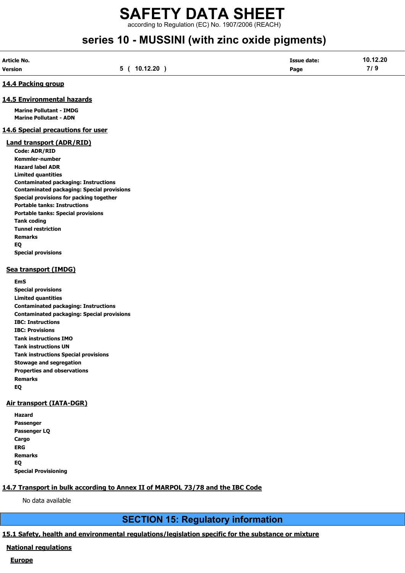## SAFETY DATA SHEET according to Regulation (EC) No. 1907/2006 (REACH)

# series 10 - MUSSINI (with zinc oxide pigments)

| Article No.    |          | Issue date: | 10.12.20  |
|----------------|----------|-------------|-----------|
| <b>Version</b> | 10.12.20 | Page        | 71<br>. . |

#### 14.4 Packing group

#### 14.5 Environmental hazards

Marine Pollutant - IMDG Marine Pollutant - ADN

#### 14.6 Special precautions for user

#### Land transport (ADR/RID)

Code: ADR/RID Kemmler-number Hazard label ADR Limited quantities Contaminated packaging: Instructions Contaminated packaging: Special provisions Special provisions for packing together Portable tanks: Instructions Portable tanks: Special provisions Tank coding Tunnel restriction Remarks EQ Special provisions

#### Sea transport (IMDG)

#### EmS

Special provisions Limited quantities Contaminated packaging: Instructions Contaminated packaging: Special provisions IBC: Instructions IBC: Provisions Tank instructions IMO Tank instructions UN Tank instructions Special provisions Stowage and segregation Properties and observations Remarks EQ

#### Air transport (IATA-DGR)

Hazard Passenger Passenger LQ Cargo ERG Remarks EQ Special Provisioning

### 14.7 Transport in bulk according to Annex II of MARPOL 73/78 and the IBC Code

No data available

## SECTION 15: Regulatory information

#### 15.1 Safety, health and environmental regulations/legislation specific for the substance or mixture

#### National regulations

#### **Europe**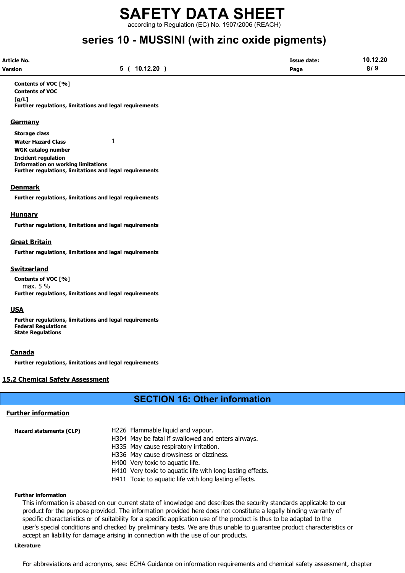according to Regulation (EC) No. 1907/2006 (REACH)

# series 10 - MUSSINI (with zinc oxide pigments)

| Article No.    |          | <b>Issue date:</b> | 10.12.20 |
|----------------|----------|--------------------|----------|
| <b>Version</b> | 10.12.20 | Page               | 8/9      |

Contents of VOC [%] Contents of VOC  $[a/L]$ Further regulations, limitations and legal requirements

#### **Germany**

Storage class Water Hazard Class 1 WGK catalog number Incident regulation Information on working limitations Further regulations, limitations and legal requirements

#### Denmark

Further regulations, limitations and legal requirements

#### **Hungary**

Further regulations, limitations and legal requirements

#### Great Britain

Further regulations, limitations and legal requirements

#### Switzerland

Contents of VOC [%] max. 5 % Further regulations, limitations and legal requirements

#### USA

Further regulations, limitations and legal requirements Federal Regulations State Regulations

#### **Canada**

Further regulations, limitations and legal requirements

#### 15.2 Chemical Safety Assessment

## SECTION 16: Other information

#### Further information

| Hazard statements (CLP) | H226 Flammable liquid and vapour.                          |
|-------------------------|------------------------------------------------------------|
|                         | H304 May be fatal if swallowed and enters airways.         |
|                         | H335 May cause respiratory irritation.                     |
|                         | H336 May cause drowsiness or dizziness.                    |
|                         | H400 Very toxic to aquatic life.                           |
|                         | H410 Very toxic to aquatic life with long lasting effects. |
|                         | H411 Toxic to aquatic life with long lasting effects.      |

#### Further information

This information is abased on our current state of knowledge and describes the security standards applicable to our product for the purpose provided. The information provided here does not constitute a legally binding warranty of specific characteristics or of suitability for a specific application use of the product is thus to be adapted to the user's special conditions and checked by preliminary tests. We are thus unable to guarantee product characteristics or accept an liability for damage arising in connection with the use of our products.

#### Literature

For abbreviations and acronyms, see: ECHA Guidance on information requirements and chemical safety assessment, chapter